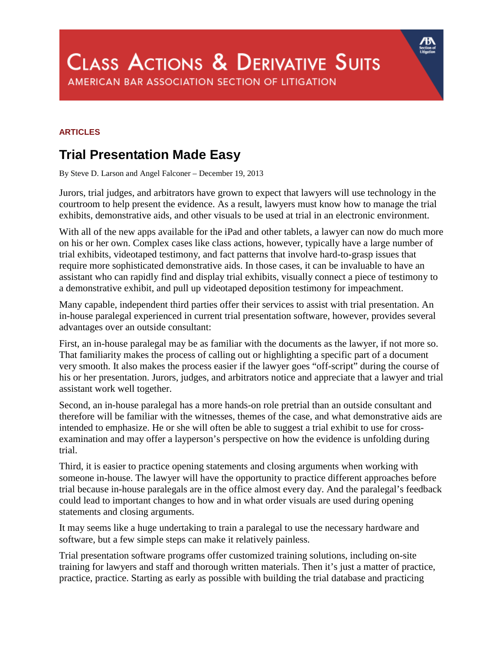## **CLASS ACTIONS & DERIVATIVE SUITS** AMERICAN BAR ASSOCIATION SECTION OF LITIGATION

## **ARTICLES**

## **Trial Presentation Made Easy**

By Steve D. Larson and Angel Falconer – December 19, 2013

Jurors, trial judges, and arbitrators have grown to expect that lawyers will use technology in the courtroom to help present the evidence. As a result, lawyers must know how to manage the trial exhibits, demonstrative aids, and other visuals to be used at trial in an electronic environment.

With all of the new apps available for the iPad and other tablets, a lawyer can now do much more on his or her own. Complex cases like class actions, however, typically have a large number of trial exhibits, videotaped testimony, and fact patterns that involve hard-to-grasp issues that require more sophisticated demonstrative aids. In those cases, it can be invaluable to have an assistant who can rapidly find and display trial exhibits, visually connect a piece of testimony to a demonstrative exhibit, and pull up videotaped deposition testimony for impeachment.

Many capable, independent third parties offer their services to assist with trial presentation. An in-house paralegal experienced in current trial presentation software, however, provides several advantages over an outside consultant:

First, an in-house paralegal may be as familiar with the documents as the lawyer, if not more so. That familiarity makes the process of calling out or highlighting a specific part of a document very smooth. It also makes the process easier if the lawyer goes "off-script" during the course of his or her presentation. Jurors, judges, and arbitrators notice and appreciate that a lawyer and trial assistant work well together.

Second, an in-house paralegal has a more hands-on role pretrial than an outside consultant and therefore will be familiar with the witnesses, themes of the case, and what demonstrative aids are intended to emphasize. He or she will often be able to suggest a trial exhibit to use for crossexamination and may offer a layperson's perspective on how the evidence is unfolding during trial.

Third, it is easier to practice opening statements and closing arguments when working with someone in-house. The lawyer will have the opportunity to practice different approaches before trial because in-house paralegals are in the office almost every day. And the paralegal's feedback could lead to important changes to how and in what order visuals are used during opening statements and closing arguments.

It may seems like a huge undertaking to train a paralegal to use the necessary hardware and software, but a few simple steps can make it relatively painless.

Trial presentation software programs offer customized training solutions, including on-site training for lawyers and staff and thorough written materials. Then it's just a matter of practice, practice, practice. Starting as early as possible with building the trial database and practicing